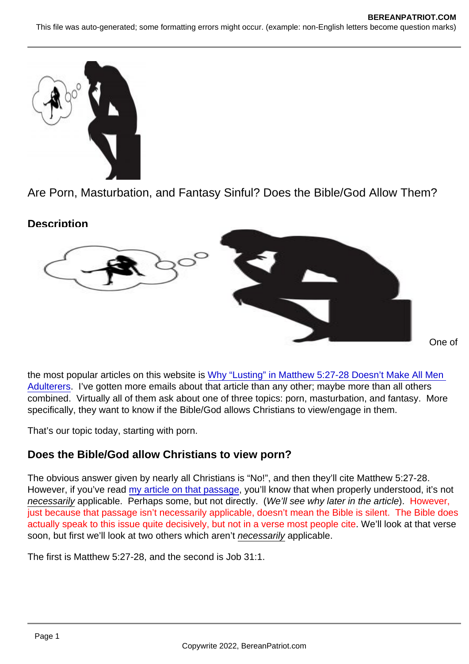# Are Porn, Masturbation, and Fantasy Sinful? Does the Bible/God Allow Them?

**Description** 

One of

the most popular articles on this website is [Why "Lusting" in Matthew 5:27-28 Doesn't Make All Men](https://www.bereanpatriot.com/why-lusting-in-matthew-527-28-doesnt-make-all-men-adulterers/)  [Adulterers.](https://www.bereanpatriot.com/why-lusting-in-matthew-527-28-doesnt-make-all-men-adulterers/) I've gotten more emails about that article than any other; maybe more than all others combined. Virtually all of them ask about one of three topics: porn, masturbation, and fantasy. More specifically, they want to know if the Bible/God allows Christians to view/engage in them.

That's our topic today, starting with porn.

# Does the Bible/God allow Christians to view porn?

The obvious answer given by nearly all Christians is "No!", and then they'll cite Matthew 5:27-28. However, if you've read [my article on that passage,](https://www.bereanpatriot.com/why-lusting-in-matthew-527-28-doesnt-make-all-men-adulterers/) you'll know that when properly understood, it's not necessarily applicable. Perhaps some, but not directly. (We'll see why later in the article). However, just because that passage isn't necessarily applicable, doesn't mean the Bible is silent. The Bible does actually speak to this issue quite decisively, but not in a verse most people cite. We'll look at that verse soon, but first we'll look at two others which aren't necessarily applicable.

The first is Matthew 5:27-28, and the second is Job 31:1.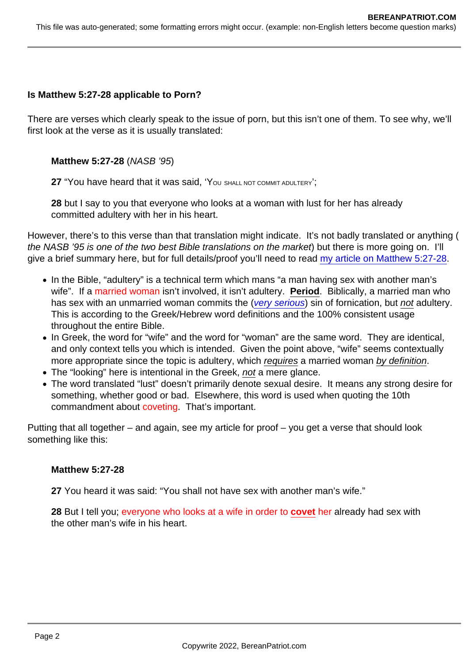Is Matthew 5:27-28 applicable to Porn?

There are verses which clearly speak to the issue of porn, but this isn't one of them. To see why, we'll first look at the verse as it is usually translated:

Matthew 5:27-28 (NASB '95)

27 "You have heard that it was said, 'You SHALL NOT COMMIT ADULTERY';

28 but I say to you that everyone who looks at a woman with lust for her has already committed adultery with her in his heart.

However, there's to this verse than that translation might indicate. It's not badly translated or anything ( the NASB '95 is one of the two best Bible translations on the market) but there is more going on. I'll give a brief summary here, but for full details/proof you'll need to read [my article on Matthew 5:27-28](https://www.bereanpatriot.com/why-lusting-in-matthew-527-28-doesnt-make-all-men-adulterers/).

- In the Bible, "adultery" is a technical term which mans "a man having sex with another man's wife". If a married woman isn't involved, it isn't adultery. Period. Biblically, a married man who has sex with an unmarried woman commits the [\(very serious](https://www.bereanpatriot.com/yes-the-bible-clearly-says-sex-outside-of-marriage-is-wrong/)) sin of fornication, but not adultery. This is according to the Greek/Hebrew word definitions and the 100% consistent usage throughout the entire Bible.
- In Greek, the word for "wife" and the word for "woman" are the same word. They are identical, and only context tells you which is intended. Given the point above, "wife" seems contextually more appropriate since the topic is adultery, which requires a married woman by definition.
- The "looking" here is intentional in the Greek, not a mere glance.
- The word translated "lust" doesn't primarily denote sexual desire. It means any strong desire for something, whether good or bad. Elsewhere, this word is used when quoting the 10th commandment about coveting. That's important.

Putting that all together – and again, see my article for proof – you get a verse that should look something like this:

#### Matthew 5:27-28

27 You heard it was said: "You shall not have sex with another man's wife."

28 But I tell you; everyone who looks at a wife in order to covet her already had sex with the other man's wife in his heart.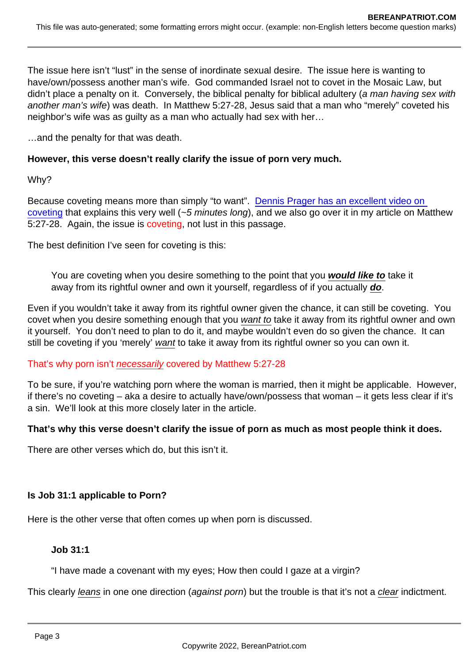The issue here isn't "lust" in the sense of inordinate sexual desire. The issue here is wanting to have/own/possess another man's wife. God commanded Israel not to covet in the Mosaic Law, but didn't place a penalty on it. Conversely, the biblical penalty for biblical adultery (a man having sex with another man's wife) was death. In Matthew 5:27-28, Jesus said that a man who "merely" coveted his neighbor's wife was as guilty as a man who actually had sex with her…

…and the penalty for that was death.

However, this verse doesn't really clarify the issue of porn very much.

Why?

Because coveting means more than simply "to want". [Dennis Prager has an excellent video on](https://www.youtube.com/watch?v=Dq2TsDbylUg)  [coveting](https://www.youtube.com/watch?v=Dq2TsDbylUg) that explains this very well (~5 minutes long), and we also go over it in my article on Matthew 5:27-28. Again, the issue is coveting, not lust in this passage.

The best definition I've seen for coveting is this:

You are coveting when you desire something to the point that you would like to take it away from its rightful owner and own it yourself, regardless of if you actually do.

Even if you wouldn't take it away from its rightful owner given the chance, it can still be coveting. You covet when you desire something enough that you want to take it away from its rightful owner and own it yourself. You don't need to plan to do it, and maybe wouldn't even do so given the chance. It can still be coveting if you 'merely' want to take it away from its rightful owner so you can own it.

#### That's why porn isn't necessarily covered by Matthew 5:27-28

To be sure, if you're watching porn where the woman is married, then it might be applicable. However, if there's no coveting – aka a desire to actually have/own/possess that woman – it gets less clear if it's a sin. We'll look at this more closely later in the article.

That's why this verse doesn't clarify the issue of porn as much as most people think it does.

There are other verses which do, but this isn't it.

Is Job 31:1 applicable to Porn?

Here is the other verse that often comes up when porn is discussed.

Job 31:1

"I have made a covenant with my eyes; How then could I gaze at a virgin?

This clearly leans in one one direction (against porn) but the trouble is that it's not a clear indictment.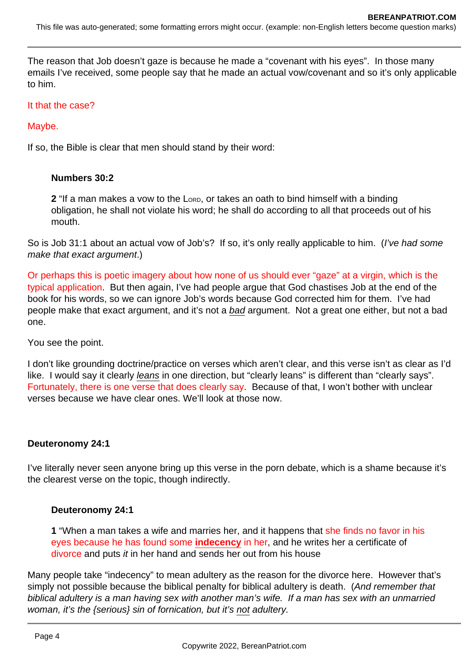The reason that Job doesn't gaze is because he made a "covenant with his eyes". In those many emails I've received, some people say that he made an actual vow/covenant and so it's only applicable to him.

#### It that the case?

Maybe.

If so, the Bible is clear that men should stand by their word:

### **Numbers 30:2**

**2** "If a man makes a vow to the Lorp, or takes an oath to bind himself with a binding obligation, he shall not violate his word; he shall do according to all that proceeds out of his mouth.

So is Job 31:1 about an actual vow of Job's? If so, it's only really applicable to him. (*I've had some* make that exact argument.)

Or perhaps this is poetic imagery about how none of us should ever "gaze" at a virgin, which is the typical application. But then again, I've had people argue that God chastises Job at the end of the book for his words, so we can ignore Job's words because God corrected him for them. I've had people make that exact argument, and it's not a bad argument. Not a great one either, but not a bad one.

You see the point.

I don't like grounding doctrine/practice on verses which aren't clear, and this verse isn't as clear as I'd like. I would say it clearly *leans* in one direction, but "clearly leans" is different than "clearly says". Fortunately, there is one verse that does clearly say. Because of that, I won't bother with unclear verses because we have clear ones. We'll look at those now.

#### **Deuteronomy 24:1**

I've literally never seen anyone bring up this verse in the porn debate, which is a shame because it's the clearest verse on the topic, though indirectly.

### **Deuteronomy 24:1**

**1** "When a man takes a wife and marries her, and it happens that she finds no favor in his eyes because he has found some **indecency** in her, and he writes her a certificate of divorce and puts *it* in her hand and sends her out from his house

Many people take "indecency" to mean adultery as the reason for the divorce here. However that's simply not possible because the biblical penalty for biblical adultery is death. (And remember that biblical adultery is a man having sex with another man's wife. If a man has sex with an unmarried woman, it's the {serious} sin of fornication, but it's not adultery.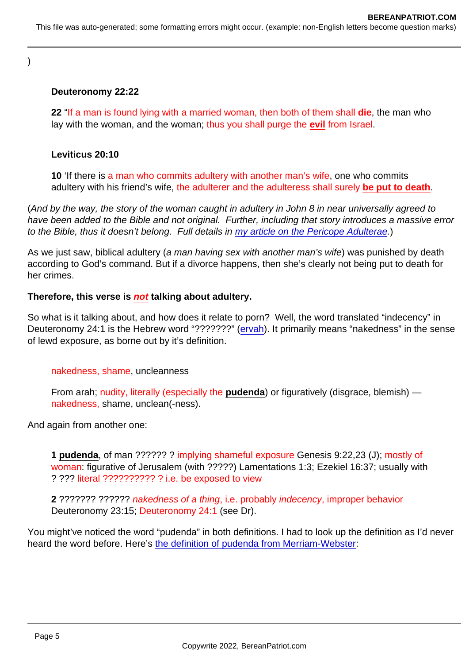)

### Deuteronomy 22:22

22 "If a man is found lying with a married woman, then both of them shall die, the man who lay with the woman, and the woman; thus you shall purge the evil from Israel.

Leviticus 20:10

10 'If there is a man who commits adultery with another man's wife, one who commits adultery with his friend's wife, the adulterer and the adulteress shall surely be put to death .

(And by the way, the story of the woman caught in adultery in John 8 in near universally agreed to have been added to the Bible and not original. Further, including that story introduces a massive error to the Bible, thus it doesn't belong. Full details in [my article on the Pericope Adulterae.](https://www.bereanpatriot.com/was-the-pericope-adulterae-woman-caught-in-adultery-original-or-added/))

As we just saw, biblical adultery (a man having sex with another man's wife) was punished by death according to God's command. But if a divorce happens, then she's clearly not being put to death for her crimes.

Therefore, this verse is not talking about adultery.

So what is it talking about, and how does it relate to porn? Well, the word translated "indecency" in Deuteronomy 24:1 is the Hebrew word "???????" [\(ervah](https://biblehub.com/hebrew/6172.htm)). It primarily means "nakedness" in the sense of lewd exposure, as borne out by it's definition.

nakedness, shame, uncleanness

From arah; nudity, literally (especially the pudenda) or figuratively (disgrace, blemish) nakedness, shame, unclean(-ness).

And again from another one:

1 pudenda , of man ?????? ? implying shameful exposure Genesis 9:22,23 (J); mostly of woman: figurative of Jerusalem (with ?????) Lamentations 1:3; Ezekiel 16:37; usually with ? ??? literal ?????????? ? i.e. be exposed to view

2 ??????? ?????? nakedness of a thing, i.e. probably indecency, improper behavior Deuteronomy 23:15; Deuteronomy 24:1 (see Dr).

You might've noticed the word "pudenda" in both definitions. I had to look up the definition as I'd never heard the word before. Here's [the definition of pudenda from Merriam-Webster:](https://www.merriam-webster.com/dictionary/pudendum)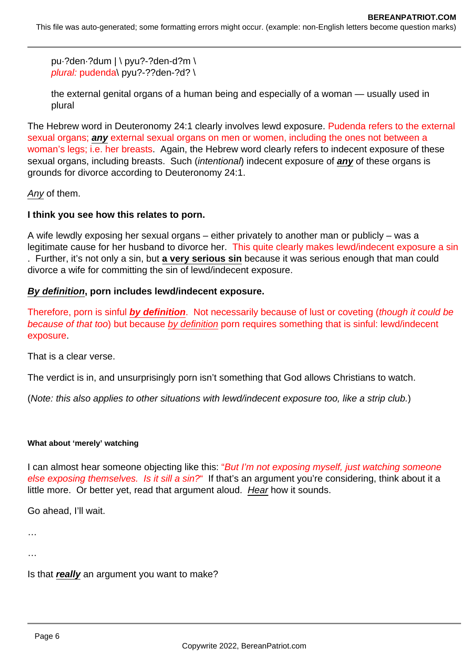pu·?den·?dum | \ pyu?-?den-d?m \ plural: pudenda\ pyu?-??den-?d? \

the external genital organs of a human being and especially of a woman — usually used in plural

The Hebrew word in Deuteronomy 24:1 clearly involves lewd exposure. Pudenda refers to the external sexual organs; **any** external sexual organs on men or women, including the ones not between a woman's legs; i.e. her breasts. Again, the Hebrew word clearly refers to indecent exposure of these sexual organs, including breasts. Such (intentional) indecent exposure of **any** of these organs is grounds for divorce according to Deuteronomy 24:1.

Any of them.

# **I think you see how this relates to porn.**

A wife lewdly exposing her sexual organs – either privately to another man or publicly – was a legitimate cause for her husband to divorce her. This quite clearly makes lewd/indecent exposure a sin . Further, it's not only a sin, but **a very serious sin** because it was serious enough that man could divorce a wife for committing the sin of lewd/indecent exposure.

## **By definition, porn includes lewd/indecent exposure.**

Therefore, porn is sinful **by definition**. Not necessarily because of lust or coveting (though it could be because of that too) but because by definition porn requires something that is sinful: lewd/indecent exposure.

That is a clear verse.

The verdict is in, and unsurprisingly porn isn't something that God allows Christians to watch.

(Note: this also applies to other situations with lewd/indecent exposure too, like a strip club.)

### **What about 'merely' watching**

I can almost hear someone objecting like this: "But I'm not exposing myself, just watching someone else exposing themselves. Is it sill a sin?" If that's an argument you're considering, think about it a little more. Or better yet, read that argument aloud. Hear how it sounds.

Go ahead, I'll wait.

…

…

Is that **really** an argument you want to make?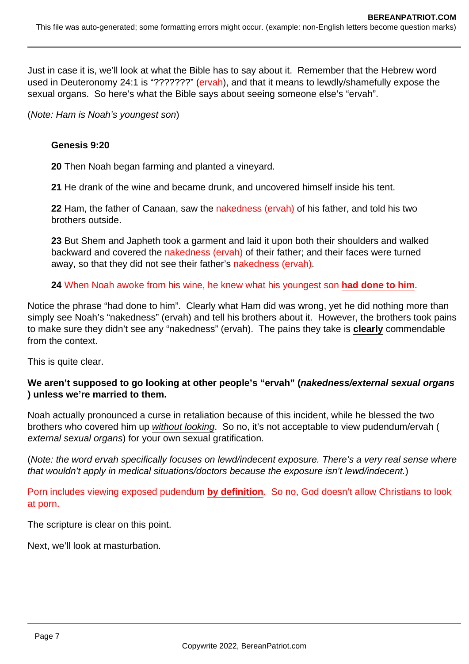Just in case it is, we'll look at what the Bible has to say about it. Remember that the Hebrew word used in Deuteronomy 24:1 is "???????" (ervah), and that it means to lewdly/shamefully expose the sexual organs. So here's what the Bible says about seeing someone else's "ervah".

(Note: Ham is Noah's youngest son)

### **Genesis 9:20**

**20** Then Noah began farming and planted a vineyard.

**21** He drank of the wine and became drunk, and uncovered himself inside his tent.

**22** Ham, the father of Canaan, saw the nakedness (ervah) of his father, and told his two brothers outside.

**23** But Shem and Japheth took a garment and laid it upon both their shoulders and walked backward and covered the nakedness (ervah) of their father; and their faces were turned away, so that they did not see their father's nakedness (ervah).

**24** When Noah awoke from his wine, he knew what his youngest son **had done to him**.

Notice the phrase "had done to him". Clearly what Ham did was wrong, yet he did nothing more than simply see Noah's "nakedness" (ervah) and tell his brothers about it. However, the brothers took pains to make sure they didn't see any "nakedness" (ervah). The pains they take is **clearly** commendable from the context.

This is quite clear.

### **We aren't supposed to go looking at other people's "ervah" (nakedness/external sexual organs ) unless we're married to them.**

Noah actually pronounced a curse in retaliation because of this incident, while he blessed the two brothers who covered him up without looking. So no, it's not acceptable to view pudendum/ervah ( external sexual organs) for your own sexual gratification.

(Note: the word ervah specifically focuses on lewd/indecent exposure. There's a very real sense where that wouldn't apply in medical situations/doctors because the exposure isn't lewd/indecent.)

Porn includes viewing exposed pudendum **by definition**. So no, God doesn't allow Christians to look at porn.

The scripture is clear on this point.

Next, we'll look at masturbation.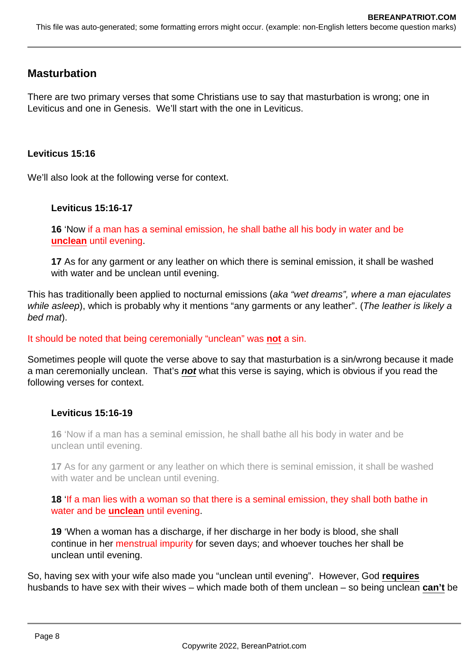# **Masturbation**

There are two primary verses that some Christians use to say that masturbation is wrong; one in Leviticus and one in Genesis. We'll start with the one in Leviticus.

### **Leviticus 15:16**

We'll also look at the following verse for context.

### **Leviticus 15:16-17**

**16** 'Now if a man has a seminal emission, he shall bathe all his body in water and be **unclean** until evening.

**17** As for any garment or any leather on which there is seminal emission, it shall be washed with water and be unclean until evening.

This has traditionally been applied to nocturnal emissions (aka "wet dreams", where a man ejaculates while asleep), which is probably why it mentions "any garments or any leather". (The leather is likely a bed mat).

### It should be noted that being ceremonially "unclean" was **not** a sin.

Sometimes people will quote the verse above to say that masturbation is a sin/wrong because it made a man ceremonially unclean. That's **not** what this verse is saying, which is obvious if you read the following verses for context.

### **Leviticus 15:16-19**

**16** 'Now if a man has a seminal emission, he shall bathe all his body in water and be unclean until evening.

**17** As for any garment or any leather on which there is seminal emission, it shall be washed with water and be unclean until evening.

**18** 'If a man lies with a woman so that there is a seminal emission, they shall both bathe in water and be **unclean** until evening.

**19** 'When a woman has a discharge, if her discharge in her body is blood, she shall continue in her menstrual impurity for seven days; and whoever touches her shall be unclean until evening.

So, having sex with your wife also made you "unclean until evening". However, God **requires** husbands to have sex with their wives – which made both of them unclean – so being unclean **can't** be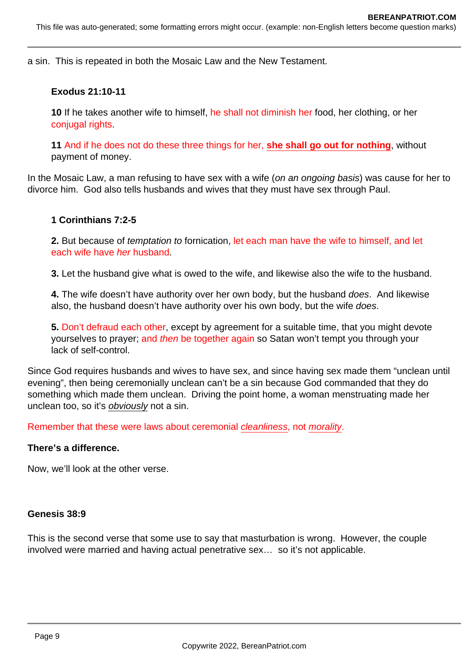a sin. This is repeated in both the Mosaic Law and the New Testament.

#### **Exodus 21:10-11**

**10** If he takes another wife to himself, he shall not diminish her food, her clothing, or her conjugal rights.

**11** And if he does not do these three things for her, **she shall go out for nothing**, without payment of money.

In the Mosaic Law, a man refusing to have sex with a wife (on an ongoing basis) was cause for her to divorce him. God also tells husbands and wives that they must have sex through Paul.

#### **1 Corinthians 7:2-5**

**2.** But because of temptation to fornication, let each man have the wife to himself, and let each wife have her husband.

**3.** Let the husband give what is owed to the wife, and likewise also the wife to the husband.

**4.** The wife doesn't have authority over her own body, but the husband does. And likewise also, the husband doesn't have authority over his own body, but the wife does.

**5.** Don't defraud each other, except by agreement for a suitable time, that you might devote yourselves to prayer; and then be together again so Satan won't tempt you through your lack of self-control.

Since God requires husbands and wives to have sex, and since having sex made them "unclean until evening", then being ceremonially unclean can't be a sin because God commanded that they do something which made them unclean. Driving the point home, a woman menstruating made her unclean too, so it's obviously not a sin.

Remember that these were laws about ceremonial cleanliness, not morality.

#### **There's a difference.**

Now, we'll look at the other verse.

#### **Genesis 38:9**

This is the second verse that some use to say that masturbation is wrong. However, the couple involved were married and having actual penetrative sex… so it's not applicable.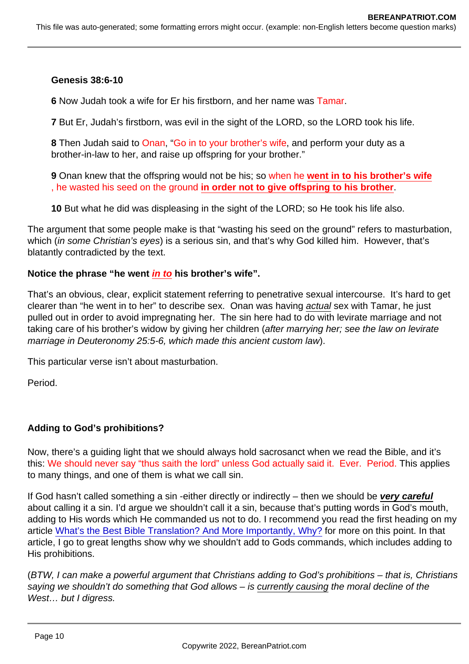Genesis 38:6-10

6 Now Judah took a wife for Er his firstborn, and her name was Tamar.

7 But Er, Judah's firstborn, was evil in the sight of the LORD, so the LORD took his life.

8 Then Judah said to Onan, "Go in to your brother's wife, and perform your duty as a brother-in-law to her, and raise up offspring for your brother."

9 Onan knew that the offspring would not be his; so when he went in to his brother's wife , he wasted his seed on the ground in order not to give offspring to his brother .

10 But what he did was displeasing in the sight of the LORD; so He took his life also.

The argument that some people make is that "wasting his seed on the ground" refers to masturbation, which (in some Christian's eyes) is a serious sin, and that's why God killed him. However, that's blatantly contradicted by the text.

Notice the phrase "he went in to his brother's wife".

That's an obvious, clear, explicit statement referring to penetrative sexual intercourse. It's hard to get clearer than "he went in to her" to describe sex. Onan was having actual sex with Tamar, he just pulled out in order to avoid impregnating her. The sin here had to do with levirate marriage and not taking care of his brother's widow by giving her children (after marrying her; see the law on levirate marriage in Deuteronomy 25:5-6, which made this ancient custom law).

This particular verse isn't about masturbation.

Period.

Adding to God's prohibitions?

Now, there's a guiding light that we should always hold sacrosanct when we read the Bible, and it's this: We should never say "thus saith the lord" unless God actually said it. Ever. Period. This applies to many things, and one of them is what we call sin.

If God hasn't called something a sin -either directly or indirectly – then we should be very careful about calling it a sin. I'd argue we shouldn't call it a sin, because that's putting words in God's mouth, adding to His words which He commanded us not to do. I recommend you read the first heading on my article [What's the Best Bible Translation? And More Importantly, Why?](https://www.bereanpatriot.com/whats-the-best-bible-translation-and-more-importantly-why/) for more on this point. In that article, I go to great lengths show why we shouldn't add to Gods commands, which includes adding to His prohibitions.

(BTW, I can make a powerful argument that Christians adding to God's prohibitions – that is, Christians saying we shouldn't do something that God allows – is currently causing the moral decline of the West… but I digress.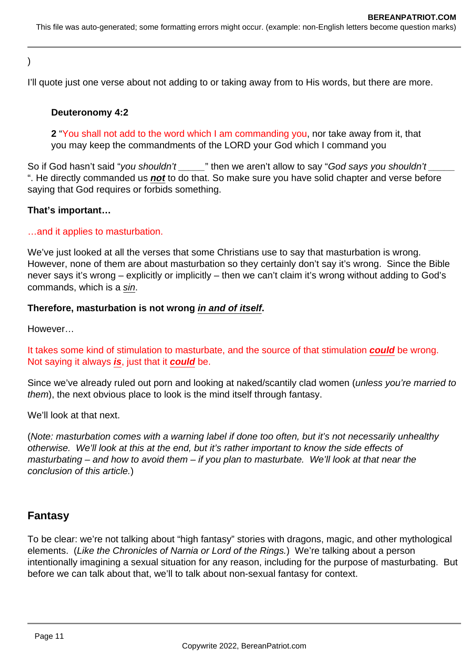## )

I'll quote just one verse about not adding to or taking away from to His words, but there are more.

### **Deuteronomy 4:2**

**2** "You shall not add to the word which I am commanding you, nor take away from it, that you may keep the commandments of the LORD your God which I command you

So if God hasn't said "you shouldn't \_\_\_\_\_" then we aren't allow to say "God says you shouldn't ". He directly commanded us **not** to do that. So make sure you have solid chapter and verse before saying that God requires or forbids something.

### **That's important…**

#### …and it applies to masturbation.

We've just looked at all the verses that some Christians use to say that masturbation is wrong. However, none of them are about masturbation so they certainly don't say it's wrong. Since the Bible never says it's wrong – explicitly or implicitly – then we can't claim it's wrong without adding to God's commands, which is a sin.

#### **Therefore, masturbation is not wrong in and of itself.**

However…

It takes some kind of stimulation to masturbate, and the source of that stimulation **could** be wrong. Not saying it always **is**, just that it **could** be.

Since we've already ruled out porn and looking at naked/scantily clad women (unless you're married to them), the next obvious place to look is the mind itself through fantasy.

We'll look at that next.

(Note: masturbation comes with a warning label if done too often, but it's not necessarily unhealthy otherwise. We'll look at this at the end, but it's rather important to know the side effects of masturbating – and how to avoid them – if you plan to masturbate. We'll look at that near the conclusion of this article.)

# **Fantasy**

To be clear: we're not talking about "high fantasy" stories with dragons, magic, and other mythological elements. (Like the Chronicles of Narnia or Lord of the Rings.) We're talking about a person intentionally imagining a sexual situation for any reason, including for the purpose of masturbating. But before we can talk about that, we'll to talk about non-sexual fantasy for context.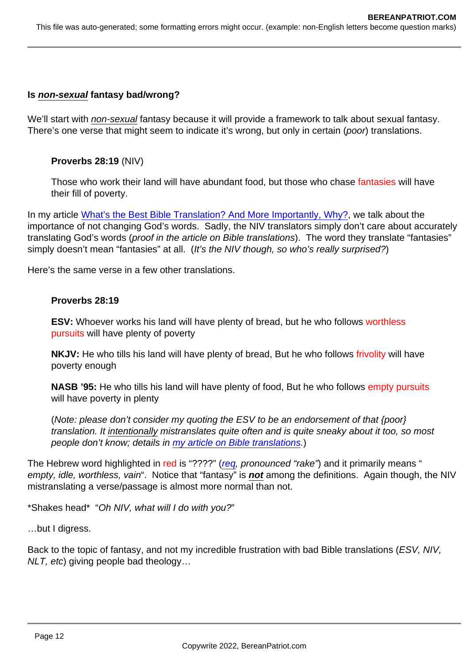Is non-sexual fantasy bad/wrong?

We'll start with non-sexual fantasy because it will provide a framework to talk about sexual fantasy. There's one verse that might seem to indicate it's wrong, but only in certain (poor) translations.

Proverbs 28:19 (NIV)

Those who work their land will have abundant food, but those who chase fantasies will have their fill of poverty.

In my article [What's the Best Bible Translation? And More Importantly, Why?,](https://www.bereanpatriot.com/whats-the-best-bible-translation-and-more-importantly-why/) we talk about the importance of not changing God's words. Sadly, the NIV translators simply don't care about accurately translating God's words (proof in the article on Bible translations). The word they translate "fantasies" simply doesn't mean "fantasies" at all. (It's the NIV though, so who's really surprised?)

Here's the same verse in a few other translations.

Proverbs 28:19

ESV: Whoever works his land will have plenty of bread, but he who follows worthless pursuits will have plenty of poverty

NKJV: He who tills his land will have plenty of bread, But he who follows frivolity will have poverty enough

NASB '95: He who tills his land will have plenty of food, But he who follows empty pursuits will have poverty in plenty

(Note: please don't consider my quoting the ESV to be an endorsement of that {poor} translation. It intentionally mistranslates quite often and is quite sneaky about it too, so most people don't know; details in [my article on Bible translations.](https://www.bereanpatriot.com/whats-the-best-bible-translation-and-more-importantly-why/))

The Hebrew word highlighted in red is "????" ([req](https://biblehub.com/hebrew/7386.htm), pronounced "rake") and it primarily means " empty, idle, worthless, vain". Notice that "fantasy" is not among the definitions. Again though, the NIV mistranslating a verse/passage is almost more normal than not.

\*Shakes head\* "Oh NIV, what will I do with you?"

…but I digress.

Back to the topic of fantasy, and not my incredible frustration with bad Bible translations (ESV, NIV, NLT, etc) giving people bad theology…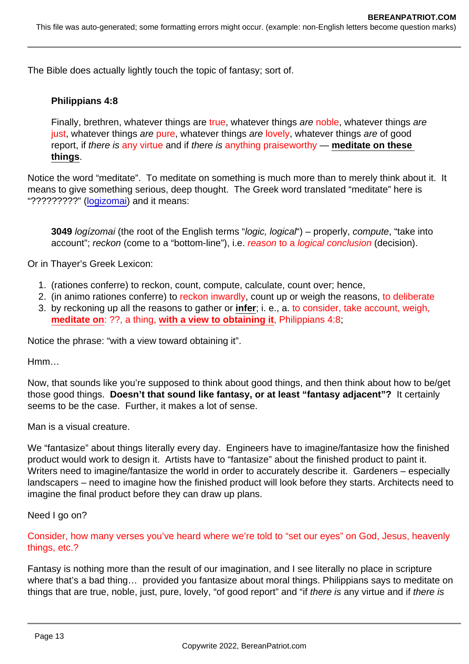The Bible does actually lightly touch the topic of fantasy; sort of.

Philippians 4:8

Finally, brethren, whatever things are true, whatever things are noble, whatever things are just, whatever things are pure, whatever things are lovely, whatever things are of good report, if there is any virtue and if there is anything praiseworthy — meditate on these things .

Notice the word "meditate". To meditate on something is much more than to merely think about it. It means to give something serious, deep thought. The Greek word translated "meditate" here is "??????????" [\(logizomai](https://biblehub.com/greek/3049.htm)) and it means:

3049 logízomai (the root of the English terms "logic, logical") – properly, compute, "take into account"; reckon (come to a "bottom-line"), i.e. reason to a logical conclusion (decision).

Or in Thayer's Greek Lexicon:

- 1. (rationes conferre) to reckon, count, compute, calculate, count over; hence,
- 2. (in animo rationes conferre) to reckon inwardly, count up or weigh the reasons, to deliberate
- 3. by reckoning up all the reasons to gather or infer ; i. e., a. to consider, take account, weigh, meditate on : ??, a thing, with a view to obtaining it , Philippians 4:8;

Notice the phrase: "with a view toward obtaining it".

Hmm…

Now, that sounds like you're supposed to think about good things, and then think about how to be/get those good things. Doesn't that sound like fantasy, or at least "fantasy adjacent"? It certainly seems to be the case. Further, it makes a lot of sense.

Man is a visual creature.

We "fantasize" about things literally every day. Engineers have to imagine/fantasize how the finished product would work to design it. Artists have to "fantasize" about the finished product to paint it. Writers need to imagine/fantasize the world in order to accurately describe it. Gardeners – especially landscapers – need to imagine how the finished product will look before they starts. Architects need to imagine the final product before they can draw up plans.

Need I go on?

Consider, how many verses you've heard where we're told to "set our eyes" on God, Jesus, heavenly things, etc.?

Fantasy is nothing more than the result of our imagination, and I see literally no place in scripture where that's a bad thing… provided you fantasize about moral things. Philippians says to meditate on things that are true, noble, just, pure, lovely, "of good report" and "if there is any virtue and if there is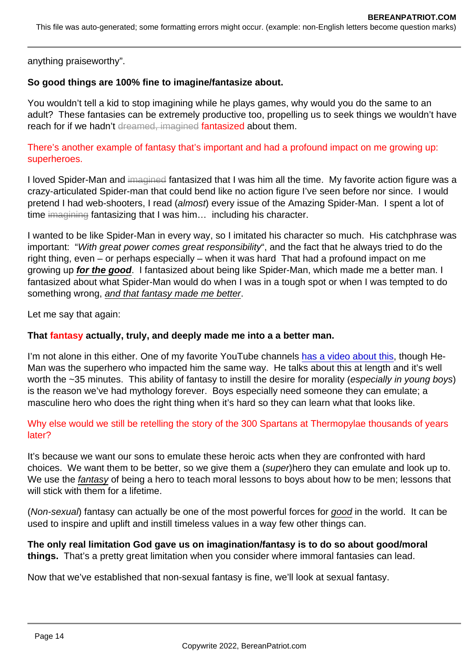anything praiseworthy".

So good things are 100% fine to imagine/fantasize about.

You wouldn't tell a kid to stop imagining while he plays games, why would you do the same to an adult? These fantasies can be extremely productive too, propelling us to seek things we wouldn't have reach for if we hadn't dreamed, imagined fantasized about them.

There's another example of fantasy that's important and had a profound impact on me growing up: superheroes.

I loved Spider-Man and imagined fantasized that I was him all the time. My favorite action figure was a crazy-articulated Spider-man that could bend like no action figure I've seen before nor since. I would pretend I had web-shooters, I read (almost) every issue of the Amazing Spider-Man. I spent a lot of time imagining fantasizing that I was him... including his character.

I wanted to be like Spider-Man in every way, so I imitated his character so much. His catchphrase was important: "With great power comes great responsibility", and the fact that he always tried to do the right thing, even – or perhaps especially – when it was hard That had a profound impact on me growing up for the good . I fantasized about being like Spider-Man, which made me a better man. I fantasized about what Spider-Man would do when I was in a tough spot or when I was tempted to do something wrong, and that fantasy made me better.

Let me say that again:

That fantasy actually, truly, and deeply made me into a a better man.

I'm not alone in this either. One of my favorite YouTube channels [has a video about this,](https://www.youtube.com/watch?v=Z9W83eXnm54) though He-Man was the superhero who impacted him the same way. He talks about this at length and it's well worth the ~35 minutes. This ability of fantasy to instill the desire for morality (especially in young boys) is the reason we've had mythology forever. Boys especially need someone they can emulate; a masculine hero who does the right thing when it's hard so they can learn what that looks like.

Why else would we still be retelling the story of the 300 Spartans at Thermopylae thousands of years later?

It's because we want our sons to emulate these heroic acts when they are confronted with hard choices. We want them to be better, so we give them a (super)hero they can emulate and look up to. We use the fantasy of being a hero to teach moral lessons to boys about how to be men; lessons that will stick with them for a lifetime.

(Non-sexual) fantasy can actually be one of the most powerful forces for good in the world. It can be used to inspire and uplift and instill timeless values in a way few other things can.

The only real limitation God gave us on imagination/fantasy is to do so about good/moral things. That's a pretty great limitation when you consider where immoral fantasies can lead.

Now that we've established that non-sexual fantasy is fine, we'll look at sexual fantasy.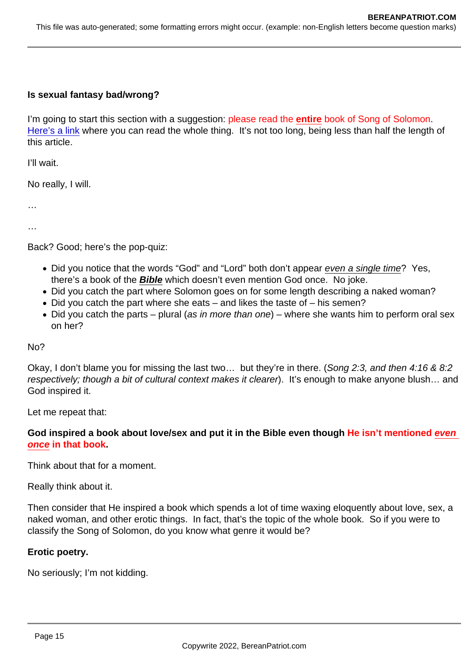Is sexual fantasy bad/wrong?

I'm going to start this section with a suggestion: please read the entire book of Song of Solomon. [Here's a link](https://www.biblegateway.com/passage/?search=song+1-8&version=NKJV) where you can read the whole thing. It's not too long, being less than half the length of this article.

I'll wait.

No really, I will.

…

…

Back? Good; here's the pop-quiz:

- Did you notice that the words "God" and "Lord" both don't appear even a single time? Yes, there's a book of the Bible which doesn't even mention God once. No joke.
- Did you catch the part where Solomon goes on for some length describing a naked woman?
- Did you catch the part where she eats and likes the taste of his semen?
- Did you catch the parts plural (as in more than one) where she wants him to perform oral sex on her?

No?

Okay, I don't blame you for missing the last two… but they're in there. (Song 2:3, and then 4:16 & 8:2 respectively; though a bit of cultural context makes it clearer). It's enough to make anyone blush… and God inspired it.

Let me repeat that:

God inspired a book about love/sex and put it in the Bible even though He isn't mentioned even once in that book .

Think about that for a moment.

Really think about it.

Then consider that He inspired a book which spends a lot of time waxing eloquently about love, sex, a naked woman, and other erotic things. In fact, that's the topic of the whole book. So if you were to classify the Song of Solomon, do you know what genre it would be?

Erotic poetry.

No seriously; I'm not kidding.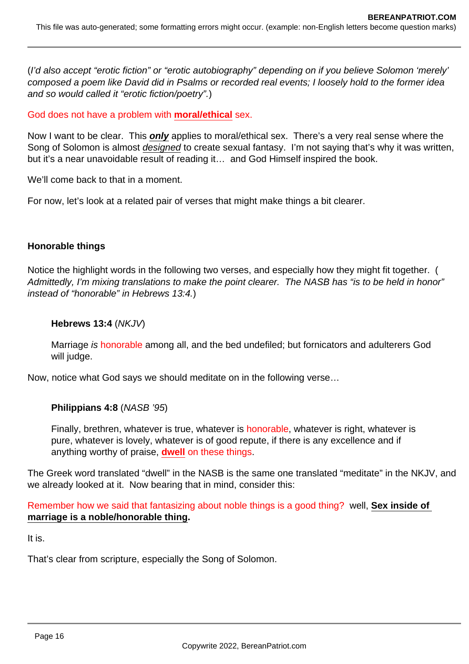(I'd also accept "erotic fiction" or "erotic autobiography" depending on if you believe Solomon 'merely' composed a poem like David did in Psalms or recorded real events; I loosely hold to the former idea and so would called it "erotic fiction/poetry".)

God does not have a problem with **moral/ethical** sex.

Now I want to be clear. This **only** applies to moral/ethical sex. There's a very real sense where the Song of Solomon is almost *designed* to create sexual fantasy. I'm not saying that's why it was written, but it's a near unavoidable result of reading it… and God Himself inspired the book.

We'll come back to that in a moment.

For now, let's look at a related pair of verses that might make things a bit clearer.

#### **Honorable things**

Notice the highlight words in the following two verses, and especially how they might fit together. ( Admittedly, I'm mixing translations to make the point clearer. The NASB has "is to be held in honor" instead of "honorable" in Hebrews 13:4.)

#### **Hebrews 13:4** (NKJV)

Marriage is honorable among all, and the bed undefiled; but fornicators and adulterers God will judge.

Now, notice what God says we should meditate on in the following verse…

#### **Philippians 4:8** (NASB '95)

Finally, brethren, whatever is true, whatever is honorable, whatever is right, whatever is pure, whatever is lovely, whatever is of good repute, if there is any excellence and if anything worthy of praise, **dwell** on these things.

The Greek word translated "dwell" in the NASB is the same one translated "meditate" in the NKJV, and we already looked at it. Now bearing that in mind, consider this:

Remember how we said that fantasizing about noble things is a good thing? well, **Sex inside of marriage is a noble/honorable thing.**

It is.

That's clear from scripture, especially the Song of Solomon.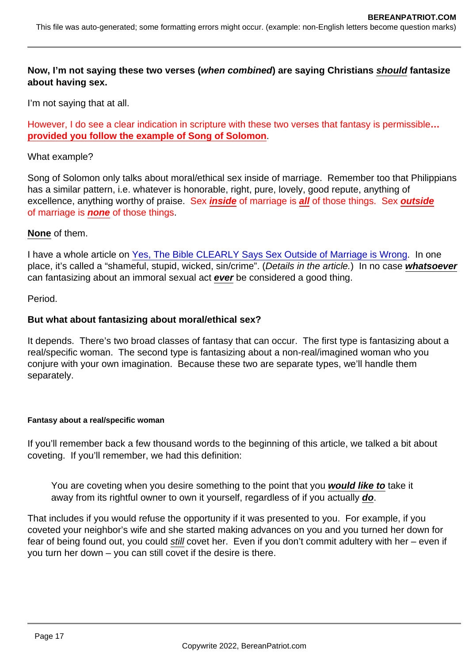Now, I'm not saying these two verses ( when combined ) are saying Christians should fantasize about having sex.

I'm not saying that at all.

However, I do see a clear indication in scripture with these two verses that fantasy is permissible... provided you follow the example of Song of Solomon .

What example?

Song of Solomon only talks about moral/ethical sex inside of marriage. Remember too that Philippians has a similar pattern, i.e. whatever is honorable, right, pure, lovely, good repute, anything of excellence, anything worthy of praise. Sex inside of marriage is all of those things. Sex outside of marriage is none of those things.

#### None of them.

I have a whole article on [Yes, The Bible CLEARLY Says Sex Outside of Marriage is Wrong](https://www.bereanpatriot.com/yes-the-bible-clearly-says-sex-outside-of-marriage-is-wrong/). In one place, it's called a "shameful, stupid, wicked, sin/crime". (Details in the article.) In no case whatsoever can fantasizing about an immoral sexual act ever be considered a good thing.

Period.

But what about fantasizing about moral/ethical sex?

It depends. There's two broad classes of fantasy that can occur. The first type is fantasizing about a real/specific woman. The second type is fantasizing about a non-real/imagined woman who you conjure with your own imagination. Because these two are separate types, we'll handle them separately.

Fantasy about a real/specific woman

If you'll remember back a few thousand words to the beginning of this article, we talked a bit about coveting. If you'll remember, we had this definition:

You are coveting when you desire something to the point that you would like to take it away from its rightful owner to own it yourself, regardless of if you actually do.

That includes if you would refuse the opportunity if it was presented to you. For example, if you coveted your neighbor's wife and she started making advances on you and you turned her down for fear of being found out, you could still covet her. Even if you don't commit adultery with her – even if you turn her down – you can still covet if the desire is there.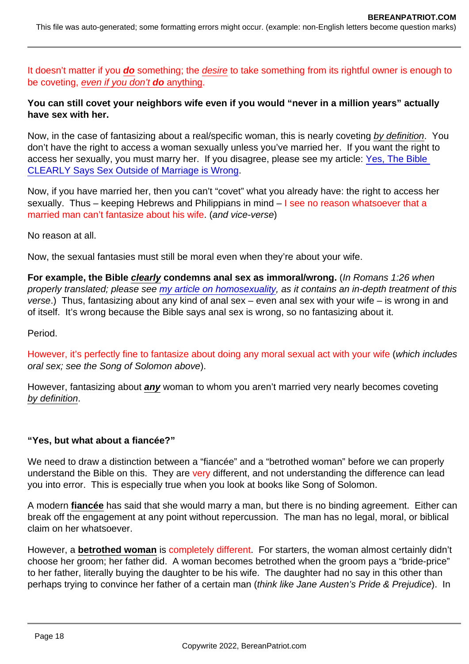It doesn't matter if you do something; the desire to take something from its rightful owner is enough to be coveting, even if you don't do anything.

You can still covet your neighbors wife even if you would "never in a million years" actually have sex with her.

Now, in the case of fantasizing about a real/specific woman, this is nearly coveting by definition. You don't have the right to access a woman sexually unless you've married her. If you want the right to access her sexually, you must marry her. If you disagree, please see my article: [Yes, The Bible](https://www.bereanpatriot.com/yes-the-bible-clearly-says-sex-outside-of-marriage-is-wrong/)  [CLEARLY Says Sex Outside of Marriage is Wrong](https://www.bereanpatriot.com/yes-the-bible-clearly-says-sex-outside-of-marriage-is-wrong/).

Now, if you have married her, then you can't "covet" what you already have: the right to access her sexually. Thus – keeping Hebrews and Philippians in mind –  $\mathsf I$  see no reason whatsoever that a married man can't fantasize about his wife. (and vice-verse)

No reason at all.

Now, the sexual fantasies must still be moral even when they're about your wife.

For example, the Bible clearly condemns anal sex as immoral/wrong. (In Romans 1:26 when properly translated; please see [my article on homosexuality](https://www.bereanpatriot.com/the-bible-on-gay-and-lesbian-homosexual-sex/), as it contains an in-depth treatment of this verse.) Thus, fantasizing about any kind of anal sex – even anal sex with your wife – is wrong in and of itself. It's wrong because the Bible says anal sex is wrong, so no fantasizing about it.

Period.

However, it's perfectly fine to fantasize about doing any moral sexual act with your wife (which includes oral sex; see the Song of Solomon above).

However, fantasizing about any woman to whom you aren't married very nearly becomes coveting by definition.

"Yes, but what about a fiancée?"

We need to draw a distinction between a "fiancée" and a "betrothed woman" before we can properly understand the Bible on this. They are very different, and not understanding the difference can lead you into error. This is especially true when you look at books like Song of Solomon.

A modern fiancée has said that she would marry a man, but there is no binding agreement. Either can break off the engagement at any point without repercussion. The man has no legal, moral, or biblical claim on her whatsoever.

However, a betrothed woman is completely different. For starters, the woman almost certainly didn't choose her groom; her father did. A woman becomes betrothed when the groom pays a "bride-price" to her father, literally buying the daughter to be his wife. The daughter had no say in this other than perhaps trying to convince her father of a certain man (think like Jane Austen's Pride & Prejudice). In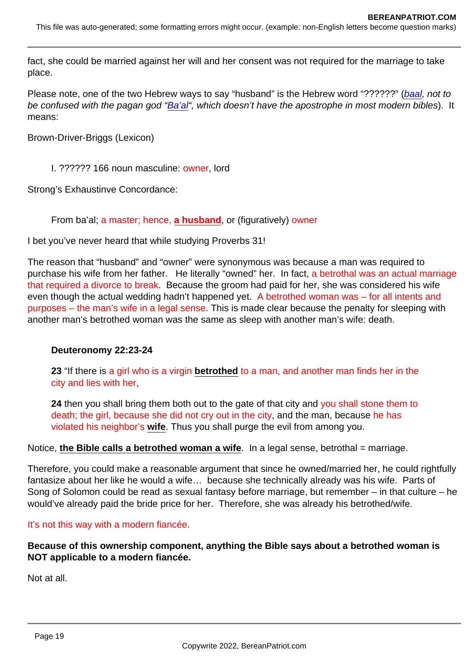fact, she could be married against her will and her consent was not required for the marriage to take place.

Please note, one of the two Hebrew ways to say "husband" is the Hebrew word "??????" [\(baal,](https://biblehub.com/hebrew/1167.htm) not to be confused with the pagan god ["Ba'al](https://biblehub.com/hebrew/1168.htm)", which doesn't have the apostrophe in most modern bibles). It means:

Brown-Driver-Briggs (Lexicon)

I. ?????? 166 noun masculine: owner, lord

Strong's Exhaustinve Concordance:

From ba'al; a master; hence, a husband , or (figuratively) owner

I bet you've never heard that while studying Proverbs 31!

The reason that "husband" and "owner" were synonymous was because a man was required to purchase his wife from her father. He literally "owned" her. In fact, a betrothal was an actual marriage that required a divorce to break. Because the groom had paid for her, she was considered his wife even though the actual wedding hadn't happened yet. A betrothed woman was – for all intents and purposes – the man's wife in a legal sense. This is made clear because the penalty for sleeping with another man's betrothed woman was the same as sleep with another man's wife: death.

Deuteronomy 22:23-24

23 "If there is a girl who is a virgin betrothed to a man, and another man finds her in the city and lies with her,

24 then you shall bring them both out to the gate of that city and you shall stone them to death; the girl, because she did not cry out in the city, and the man, because he has violated his neighbor's wife . Thus you shall purge the evil from among you.

Notice, the Bible calls a betrothed woman a wife  $\ldots$  In a legal sense, betrothal = marriage.

Therefore, you could make a reasonable argument that since he owned/married her, he could rightfully fantasize about her like he would a wife… because she technically already was his wife. Parts of Song of Solomon could be read as sexual fantasy before marriage, but remember – in that culture – he would've already paid the bride price for her. Therefore, she was already his betrothed/wife.

#### It's not this way with a modern fiancée.

Because of this ownership component, anything the Bible says about a betrothed woman is NOT applicable to a modern fiancée.

Not at all.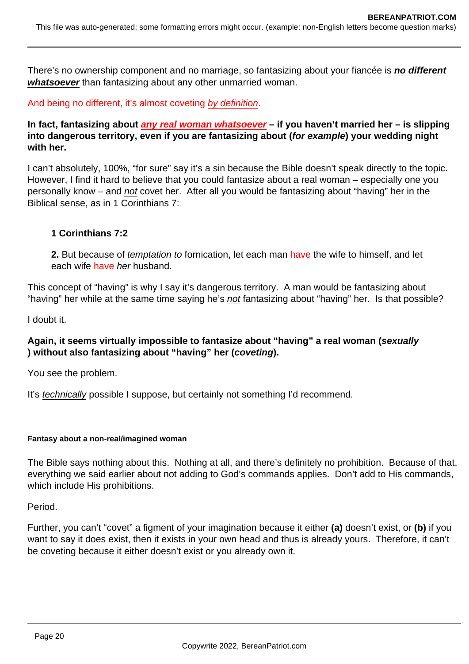There's no ownership component and no marriage, so fantasizing about your fiancée is **no different whatsoever** than fantasizing about any other unmarried woman.

And being no different, it's almost coveting by definition.

**In fact, fantasizing about any real woman whatsoever – if you haven't married her – is slipping into dangerous territory, even if you are fantasizing about (for example) your wedding night with her.**

I can't absolutely, 100%, "for sure" say it's a sin because the Bible doesn't speak directly to the topic. However, I find it hard to believe that you could fantasize about a real woman – especially one you personally know – and not covet her. After all you would be fantasizing about "having" her in the Biblical sense, as in 1 Corinthians 7:

### **1 Corinthians 7:2**

**2.** But because of temptation to fornication, let each man have the wife to himself, and let each wife have her husband.

This concept of "having" is why I say it's dangerous territory. A man would be fantasizing about "having" her while at the same time saying he's not fantasizing about "having" her. Is that possible?

I doubt it.

### **Again, it seems virtually impossible to fantasize about "having" a real woman (sexually ) without also fantasizing about "having" her (coveting).**

You see the problem.

It's *technically* possible I suppose, but certainly not something I'd recommend.

#### **Fantasy about a non-real/imagined woman**

The Bible says nothing about this. Nothing at all, and there's definitely no prohibition. Because of that, everything we said earlier about not adding to God's commands applies. Don't add to His commands, which include His prohibitions.

Period.

Further, you can't "covet" a figment of your imagination because it either **(a)** doesn't exist, or **(b)** if you want to say it does exist, then it exists in your own head and thus is already yours. Therefore, it can't be coveting because it either doesn't exist or you already own it.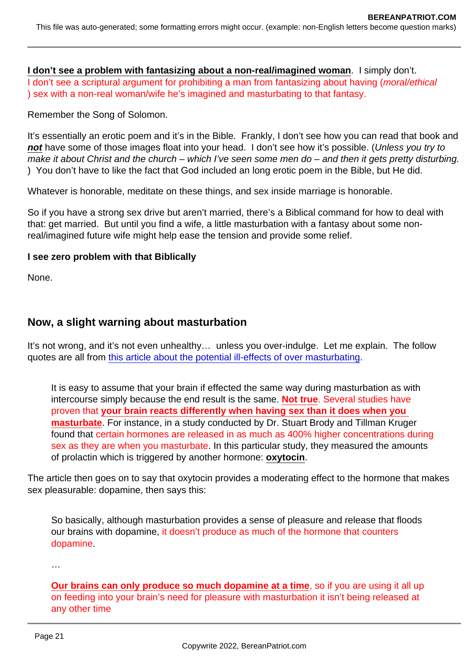I don't see a problem with fantasizing about a non-real/imagined woman . I simply don't. I don't see a scriptural argument for prohibiting a man from fantasizing about having (moral/ethical ) sex with a non-real woman/wife he's imagined and masturbating to that fantasy.

Remember the Song of Solomon.

It's essentially an erotic poem and it's in the Bible. Frankly, I don't see how you can read that book and not have some of those images float into your head. I don't see how it's possible. (Unless you try to  $\overline{m}$  make it about Christ and the church – which I've seen some men do – and then it gets pretty disturbing. ) You don't have to like the fact that God included an long erotic poem in the Bible, but He did.

Whatever is honorable, meditate on these things, and sex inside marriage is honorable.

So if you have a strong sex drive but aren't married, there's a Biblical command for how to deal with that: get married. But until you find a wife, a little masturbation with a fantasy about some nonreal/imagined future wife might help ease the tension and provide some relief.

I see zero problem with that Biblically

None.

## Now, a slight warning about masturbation

It's not wrong, and it's not even unhealthy… unless you over-indulge. Let me explain. The follow quotes are all from [this article about the potential ill-effects of over masturbating](https://iheartintelligence.com/stop-masturbating/).

It is easy to assume that your brain if effected the same way during masturbation as with intercourse simply because the end result is the same. Not true . Several studies have proven that your brain reacts differently when having sex than it does when you masturbate . For instance, in a study conducted by Dr. Stuart Brody and Tillman Kruger found that certain hormones are released in as much as 400% higher concentrations during sex as they are when you masturbate. In this particular study, they measured the amounts of prolactin which is triggered by another hormone: oxytocin .

The article then goes on to say that oxytocin provides a moderating effect to the hormone that makes sex pleasurable: dopamine, then says this:

So basically, although masturbation provides a sense of pleasure and release that floods our brains with dopamine, it doesn't produce as much of the hormone that counters dopamine.

…

Our brains can only produce so much dopamine at a time , so if you are using it all up on feeding into your brain's need for pleasure with masturbation it isn't being released at any other time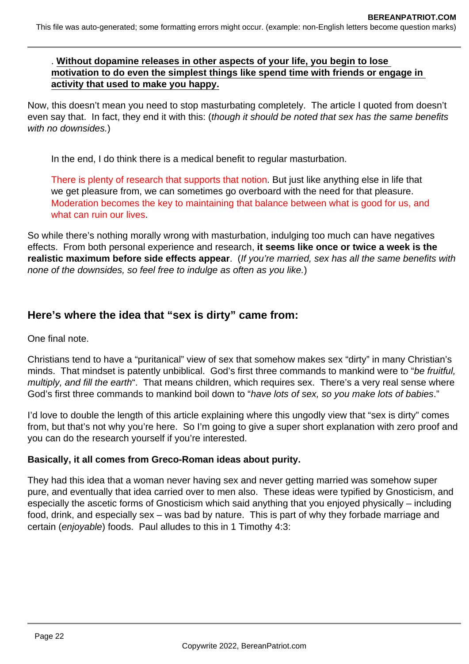### . **Without dopamine releases in other aspects of your life, you begin to lose motivation to do even the simplest things like spend time with friends or engage in activity that used to make you happy.**

Now, this doesn't mean you need to stop masturbating completely. The article I quoted from doesn't even say that. In fact, they end it with this: (though it should be noted that sex has the same benefits with no downsides.)

In the end, I do think there is a medical benefit to regular masturbation.

There is plenty of research that supports that notion. But just like anything else in life that we get pleasure from, we can sometimes go overboard with the need for that pleasure. Moderation becomes the key to maintaining that balance between what is good for us, and what can ruin our lives.

So while there's nothing morally wrong with masturbation, indulging too much can have negatives effects. From both personal experience and research, **it seems like once or twice a week is the realistic maximum before side effects appear**. (If you're married, sex has all the same benefits with none of the downsides, so feel free to indulge as often as you like.)

# **Here's where the idea that "sex is dirty" came from:**

One final note.

Christians tend to have a "puritanical" view of sex that somehow makes sex "dirty" in many Christian's minds. That mindset is patently unbiblical. God's first three commands to mankind were to "be fruitful, multiply, and fill the earth". That means children, which requires sex. There's a very real sense where God's first three commands to mankind boil down to "have lots of sex, so you make lots of babies."

I'd love to double the length of this article explaining where this ungodly view that "sex is dirty" comes from, but that's not why you're here. So I'm going to give a super short explanation with zero proof and you can do the research yourself if you're interested.

### **Basically, it all comes from Greco-Roman ideas about purity.**

They had this idea that a woman never having sex and never getting married was somehow super pure, and eventually that idea carried over to men also. These ideas were typified by Gnosticism, and especially the ascetic forms of Gnosticism which said anything that you enjoyed physically – including food, drink, and especially sex – was bad by nature. This is part of why they forbade marriage and certain (enjoyable) foods. Paul alludes to this in 1 Timothy 4:3: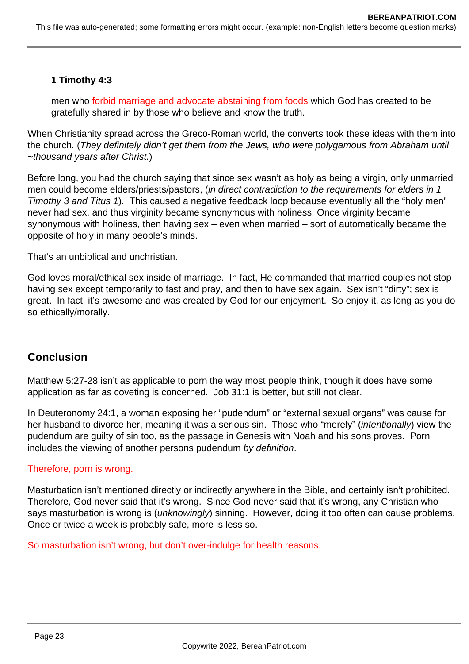# **1 Timothy 4:3**

men who forbid marriage and advocate abstaining from foods which God has created to be gratefully shared in by those who believe and know the truth.

When Christianity spread across the Greco-Roman world, the converts took these ideas with them into the church. (They definitely didn't get them from the Jews, who were polygamous from Abraham until ~thousand years after Christ.)

Before long, you had the church saying that since sex wasn't as holy as being a virgin, only unmarried men could become elders/priests/pastors, (in direct contradiction to the requirements for elders in 1 Timothy 3 and Titus 1). This caused a negative feedback loop because eventually all the "holy men" never had sex, and thus virginity became synonymous with holiness. Once virginity became synonymous with holiness, then having sex – even when married – sort of automatically became the opposite of holy in many people's minds.

That's an unbiblical and unchristian.

God loves moral/ethical sex inside of marriage. In fact, He commanded that married couples not stop having sex except temporarily to fast and pray, and then to have sex again. Sex isn't "dirty"; sex is great. In fact, it's awesome and was created by God for our enjoyment. So enjoy it, as long as you do so ethically/morally.

# **Conclusion**

Matthew 5:27-28 isn't as applicable to porn the way most people think, though it does have some application as far as coveting is concerned. Job 31:1 is better, but still not clear.

In Deuteronomy 24:1, a woman exposing her "pudendum" or "external sexual organs" was cause for her husband to divorce her, meaning it was a serious sin. Those who "merely" (intentionally) view the pudendum are guilty of sin too, as the passage in Genesis with Noah and his sons proves. Porn includes the viewing of another persons pudendum by definition.

### Therefore, porn is wrong.

Masturbation isn't mentioned directly or indirectly anywhere in the Bible, and certainly isn't prohibited. Therefore, God never said that it's wrong. Since God never said that it's wrong, any Christian who says masturbation is wrong is (*unknowingly*) sinning. However, doing it too often can cause problems. Once or twice a week is probably safe, more is less so.

So masturbation isn't wrong, but don't over-indulge for health reasons.